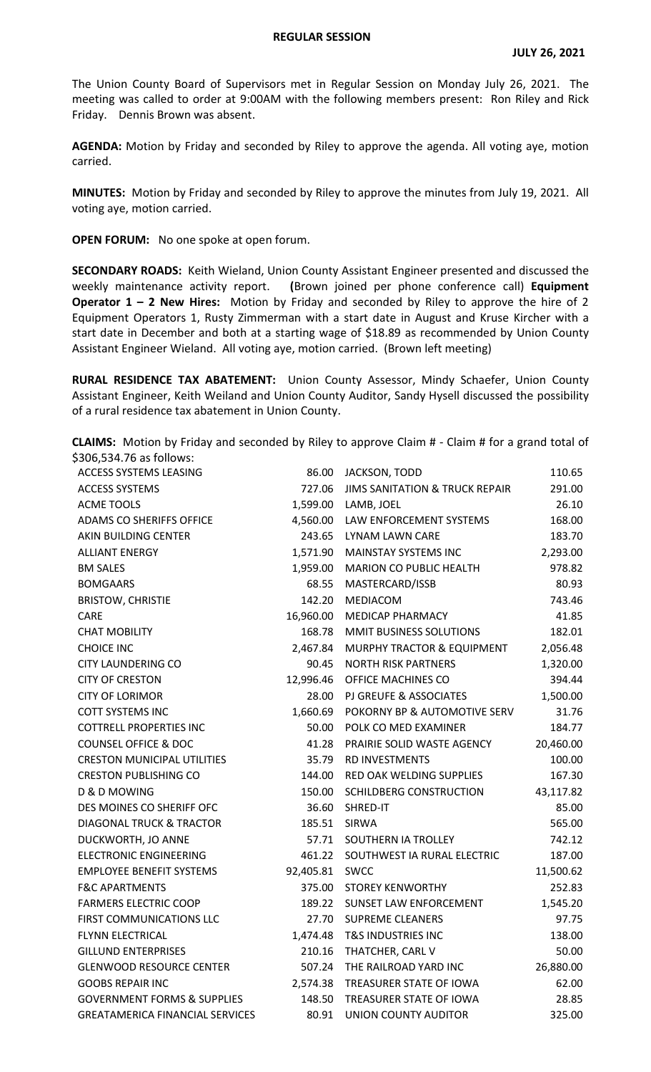## **REGULAR SESSION**

The Union County Board of Supervisors met in Regular Session on Monday July 26, 2021. The meeting was called to order at 9:00AM with the following members present: Ron Riley and Rick Friday. Dennis Brown was absent.

**AGENDA:** Motion by Friday and seconded by Riley to approve the agenda. All voting aye, motion carried.

**MINUTES:** Motion by Friday and seconded by Riley to approve the minutes from July 19, 2021. All voting aye, motion carried.

**OPEN FORUM:** No one spoke at open forum.

**SECONDARY ROADS:** Keith Wieland, Union County Assistant Engineer presented and discussed the weekly maintenance activity report. **(**Brown joined per phone conference call) **Equipment Operator 1 – 2 New Hires:** Motion by Friday and seconded by Riley to approve the hire of 2 Equipment Operators 1, Rusty Zimmerman with a start date in August and Kruse Kircher with a start date in December and both at a starting wage of \$18.89 as recommended by Union County Assistant Engineer Wieland. All voting aye, motion carried. (Brown left meeting)

**RURAL RESIDENCE TAX ABATEMENT:** Union County Assessor, Mindy Schaefer, Union County Assistant Engineer, Keith Weiland and Union County Auditor, Sandy Hysell discussed the possibility of a rural residence tax abatement in Union County.

**CLAIMS:** Motion by Friday and seconded by Riley to approve Claim # - Claim # for a grand total of \$306,534.76 as follows:

| ACCESS SYSTEMS LEASING                 |                | 86.00 JACKSON, TODD                | 110.65    |
|----------------------------------------|----------------|------------------------------------|-----------|
| <b>ACCESS SYSTEMS</b>                  | 727.06         | JIMS SANITATION & TRUCK REPAIR     | 291.00    |
| <b>ACME TOOLS</b>                      |                | 1,599.00 LAMB, JOEL                | 26.10     |
| ADAMS CO SHERIFFS OFFICE               |                | 4,560.00 LAW ENFORCEMENT SYSTEMS   | 168.00    |
| AKIN BUILDING CENTER                   |                | 243.65 LYNAM LAWN CARE             | 183.70    |
| <b>ALLIANT ENERGY</b>                  | 1,571.90       | MAINSTAY SYSTEMS INC               | 2,293.00  |
| <b>BM SALES</b>                        |                | 1,959.00 MARION CO PUBLIC HEALTH   | 978.82    |
| <b>BOMGAARS</b>                        | 68.55          | MASTERCARD/ISSB                    | 80.93     |
| <b>BRISTOW, CHRISTIE</b>               | 142.20         | MEDIACOM                           | 743.46    |
| CARE                                   | 16,960.00      | MEDICAP PHARMACY                   | 41.85     |
| <b>CHAT MOBILITY</b>                   | 168.78         | MMIT BUSINESS SOLUTIONS            | 182.01    |
| <b>CHOICE INC</b>                      | 2,467.84       | MURPHY TRACTOR & EQUIPMENT         | 2,056.48  |
| <b>CITY LAUNDERING CO</b>              | 90.45          | <b>NORTH RISK PARTNERS</b>         | 1,320.00  |
| <b>CITY OF CRESTON</b>                 | 12,996.46      | OFFICE MACHINES CO                 | 394.44    |
| <b>CITY OF LORIMOR</b>                 |                | 28.00 PJ GREUFE & ASSOCIATES       | 1,500.00  |
| <b>COTT SYSTEMS INC</b>                | 1,660.69       | POKORNY BP & AUTOMOTIVE SERV       | 31.76     |
| <b>COTTRELL PROPERTIES INC</b>         |                | 50.00 POLK CO MED EXAMINER         | 184.77    |
| <b>COUNSEL OFFICE &amp; DOC</b>        | 41.28          | PRAIRIE SOLID WASTE AGENCY         | 20,460.00 |
| <b>CRESTON MUNICIPAL UTILITIES</b>     | 35.79          | RD INVESTMENTS                     | 100.00    |
| <b>CRESTON PUBLISHING CO</b>           | 144.00         | RED OAK WELDING SUPPLIES           | 167.30    |
| D & D MOWING                           |                | 150.00 SCHILDBERG CONSTRUCTION     | 43,117.82 |
| DES MOINES CO SHERIFF OFC              | 36.60          | SHRED-IT                           | 85.00     |
| <b>DIAGONAL TRUCK &amp; TRACTOR</b>    |                | 185.51 SIRWA                       | 565.00    |
| DUCKWORTH, JO ANNE                     |                | 57.71 SOUTHERN IA TROLLEY          | 742.12    |
| <b>ELECTRONIC ENGINEERING</b>          |                | 461.22 SOUTHWEST IA RURAL ELECTRIC | 187.00    |
| <b>EMPLOYEE BENEFIT SYSTEMS</b>        | 92,405.81 SWCC |                                    | 11,500.62 |
| <b>F&amp;C APARTMENTS</b>              |                | 375.00 STOREY KENWORTHY            | 252.83    |
| <b>FARMERS ELECTRIC COOP</b>           |                | 189.22 SUNSET LAW ENFORCEMENT      | 1,545.20  |
| FIRST COMMUNICATIONS LLC               |                | 27.70 SUPREME CLEANERS             | 97.75     |
| FLYNN ELECTRICAL                       |                | 1,474.48 T&S INDUSTRIES INC        | 138.00    |
| <b>GILLUND ENTERPRISES</b>             |                | 210.16 THATCHER, CARL V            | 50.00     |
| <b>GLENWOOD RESOURCE CENTER</b>        | 507.24         | THE RAILROAD YARD INC              | 26,880.00 |
| <b>GOOBS REPAIR INC</b>                | 2,574.38       | TREASURER STATE OF IOWA            | 62.00     |
| <b>GOVERNMENT FORMS &amp; SUPPLIES</b> | 148.50         | TREASURER STATE OF IOWA            | 28.85     |
| <b>GREATAMERICA FINANCIAL SERVICES</b> | 80.91          | UNION COUNTY AUDITOR               | 325.00    |
|                                        |                |                                    |           |